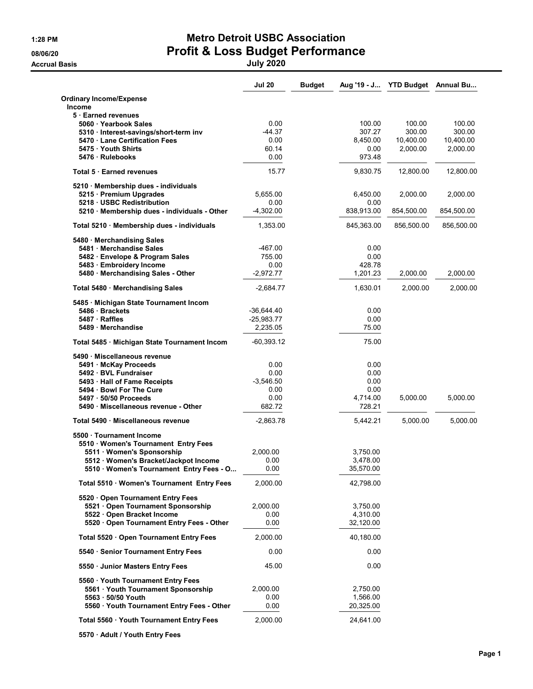**Accrual Basis** 

# 1:28 PM Metro Detroit USBC Association 08/06/20<br>Accrual Basis **Profit & Loss Budget Performance**

|                                                 | <b>Jul 20</b> | <b>Budget</b> |            | Aug '19 - J YTD Budget Annual Bu |            |
|-------------------------------------------------|---------------|---------------|------------|----------------------------------|------------|
| <b>Ordinary Income/Expense</b><br><b>Income</b> |               |               |            |                                  |            |
| 5 Earned revenues                               |               |               |            |                                  |            |
| 5060 · Yearbook Sales                           | 0.00          |               | 100.00     | 100.00                           | 100.00     |
| 5310 · Interest-savings/short-term inv          | -44.37        |               | 307.27     | 300.00                           | 300.00     |
| 5470 Lane Certification Fees                    | 0.00          |               | 8,450.00   | 10,400.00                        | 10,400.00  |
| 5475 · Youth Shirts                             | 60.14         |               | 0.00       | 2,000.00                         | 2,000.00   |
| 5476 Rulebooks                                  | 0.00          |               | 973.48     |                                  |            |
| Total 5 Earned revenues                         | 15.77         |               | 9,830.75   | 12,800.00                        | 12,800.00  |
| 5210 · Membership dues - individuals            |               |               |            |                                  |            |
| 5215 · Premium Upgrades                         | 5,655.00      |               | 6,450.00   | 2,000.00                         | 2,000.00   |
| 5218 · USBC Redistribution                      | 0.00          |               | 0.00       |                                  |            |
| 5210 Membership dues - individuals - Other      | $-4,302.00$   |               | 838,913.00 | 854,500.00                       | 854,500.00 |
| Total 5210 · Membership dues - individuals      | 1,353.00      |               | 845,363.00 | 856,500.00                       | 856,500.00 |
| 5480 · Merchandising Sales                      |               |               |            |                                  |            |
| 5481 Merchandise Sales                          | $-467.00$     |               | 0.00       |                                  |            |
| 5482 Envelope & Program Sales                   | 755.00        |               | 0.00       |                                  |            |
| 5483 · Embroidery Income                        | 0.00          |               | 428.78     |                                  |            |
| 5480 Merchandising Sales - Other                | $-2,972.77$   |               | 1,201.23   | 2,000.00                         | 2,000.00   |
| Total 5480 · Merchandising Sales                | $-2,684.77$   |               | 1,630.01   | 2,000.00                         | 2,000.00   |
| 5485 · Michigan State Tournament Incom          |               |               |            |                                  |            |
| 5486 · Brackets                                 | $-36,644.40$  |               | 0.00       |                                  |            |
| 5487 · Raffles                                  | $-25,983.77$  |               | 0.00       |                                  |            |
| 5489 Merchandise                                | 2,235.05      |               | 75.00      |                                  |            |
| Total 5485 · Michigan State Tournament Incom    | $-60,393.12$  |               | 75.00      |                                  |            |
| 5490 · Miscellaneous revenue                    |               |               |            |                                  |            |
| 5491 McKay Proceeds                             | 0.00          |               | 0.00       |                                  |            |
| 5492 · BVL Fundraiser                           | 0.00          |               | 0.00       |                                  |            |
| 5493 · Hall of Fame Receipts                    | $-3,546.50$   |               | 0.00       |                                  |            |
| 5494 Bowl For The Cure                          | 0.00          |               | 0.00       |                                  |            |
| 5497 · 50/50 Proceeds                           | 0.00          |               | 4,714.00   | 5,000.00                         | 5,000.00   |
| 5490 · Miscellaneous revenue - Other            | 682.72        |               | 728.21     |                                  |            |
| Total 5490 Miscellaneous revenue                | $-2,863.78$   |               | 5,442.21   | 5,000.00                         | 5,000.00   |
| 5500 · Tournament Income                        |               |               |            |                                  |            |
| 5510 · Women's Tournament Entry Fees            |               |               |            |                                  |            |
| 5511 · Women's Sponsorship                      | 2,000.00      |               | 3,750.00   |                                  |            |
| 5512 · Women's Bracket/Jackpot Income           | 0.00          |               | 3,478.00   |                                  |            |
| 5510 · Women's Tournament Entry Fees - O        | 0.00          |               | 35,570.00  |                                  |            |
| Total 5510 · Women's Tournament Entry Fees      | 2,000.00      |               | 42,798.00  |                                  |            |
| 5520 Open Tournament Entry Fees                 |               |               |            |                                  |            |
| 5521 Open Tournament Sponsorship                | 2,000.00      |               | 3,750.00   |                                  |            |
| 5522 Open Bracket Income                        | 0.00          |               | 4,310.00   |                                  |            |
| 5520 · Open Tournament Entry Fees - Other       | 0.00          |               | 32,120.00  |                                  |            |
| Total 5520 · Open Tournament Entry Fees         | 2,000.00      |               | 40,180.00  |                                  |            |
| 5540 · Senior Tournament Entry Fees             | 0.00          |               | 0.00       |                                  |            |
| 5550 Junior Masters Entry Fees                  | 45.00         |               | 0.00       |                                  |            |
| 5560 · Youth Tournament Entry Fees              |               |               |            |                                  |            |
| 5561 Youth Tournament Sponsorship               | 2,000.00      |               | 2,750.00   |                                  |            |
| 5563 . 50/50 Youth                              | 0.00          |               | 1,566.00   |                                  |            |
| 5560 Youth Tournament Entry Fees - Other        | 0.00          |               | 20,325.00  |                                  |            |
|                                                 |               |               |            |                                  |            |
| Total 5560 · Youth Tournament Entry Fees        | 2,000.00      |               | 24,641.00  |                                  |            |

5570 · Adult / Youth Entry Fees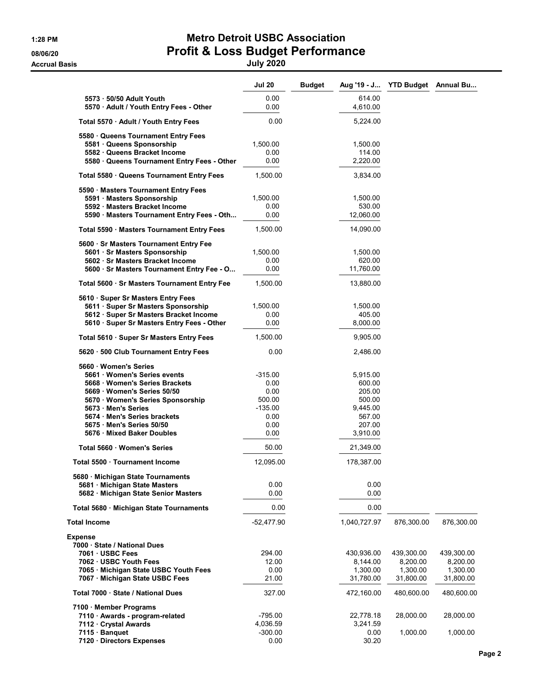### 1:28 PM Metro Detroit USBC Association 08/06/20 **Profit & Loss Budget Performance** Accrual Basis July 2020

|                                                                                                                                                                                                                                                                         | <b>Jul 20</b>                                                          | <b>Budget</b> |                                                                                    | Aug '19 - J YTD Budget Annual Bu                |                                                 |
|-------------------------------------------------------------------------------------------------------------------------------------------------------------------------------------------------------------------------------------------------------------------------|------------------------------------------------------------------------|---------------|------------------------------------------------------------------------------------|-------------------------------------------------|-------------------------------------------------|
| 5573 - 50/50 Adult Youth<br>5570 · Adult / Youth Entry Fees - Other                                                                                                                                                                                                     | 0.00<br>0.00                                                           |               | 614.00<br>4,610.00                                                                 |                                                 |                                                 |
| Total 5570 · Adult / Youth Entry Fees                                                                                                                                                                                                                                   | 0.00                                                                   |               | 5,224.00                                                                           |                                                 |                                                 |
| 5580 Queens Tournament Entry Fees<br>5581 · Queens Sponsorship<br>5582 · Queens Bracket Income<br>5580 · Queens Tournament Entry Fees - Other                                                                                                                           | 1,500.00<br>0.00<br>0.00                                               |               | 1,500.00<br>114.00<br>2,220.00                                                     |                                                 |                                                 |
| Total 5580 · Queens Tournament Entry Fees                                                                                                                                                                                                                               | 1,500.00                                                               |               | 3,834.00                                                                           |                                                 |                                                 |
| 5590 · Masters Tournament Entry Fees<br>5591 · Masters Sponsorship<br>5592 · Masters Bracket Income<br>5590 · Masters Tournament Entry Fees - Oth                                                                                                                       | 1,500.00<br>0.00<br>0.00                                               |               | 1,500.00<br>530.00<br>12,060.00                                                    |                                                 |                                                 |
| Total 5590 · Masters Tournament Entry Fees                                                                                                                                                                                                                              | 1,500.00                                                               |               | 14,090.00                                                                          |                                                 |                                                 |
| 5600 · Sr Masters Tournament Entry Fee<br>5601 · Sr Masters Sponsorship<br>5602 Sr Masters Bracket Income<br>5600 · Sr Masters Tournament Entry Fee - O                                                                                                                 | 1,500.00<br>0.00<br>0.00                                               |               | 1,500.00<br>620.00<br>11,760.00                                                    |                                                 |                                                 |
| Total 5600 · Sr Masters Tournament Entry Fee                                                                                                                                                                                                                            | 1,500.00                                                               |               | 13,880.00                                                                          |                                                 |                                                 |
| 5610 · Super Sr Masters Entry Fees<br>5611 · Super Sr Masters Sponsorship<br>5612 · Super Sr Masters Bracket Income<br>5610 · Super Sr Masters Entry Fees - Other                                                                                                       | 1,500.00<br>0.00<br>0.00                                               |               | 1,500.00<br>405.00<br>8,000.00                                                     |                                                 |                                                 |
| Total 5610 · Super Sr Masters Entry Fees                                                                                                                                                                                                                                | 1,500.00                                                               |               | 9,905.00                                                                           |                                                 |                                                 |
| 5620 · 500 Club Tournament Entry Fees                                                                                                                                                                                                                                   | 0.00                                                                   |               | 2,486.00                                                                           |                                                 |                                                 |
| 5660 Women's Series<br>5661 · Women's Series events<br>5668 Women's Series Brackets<br>5669 · Women's Series 50/50<br>5670 · Women's Series Sponsorship<br>5673 · Men's Series<br>5674 · Men's Series brackets<br>5675 · Men's Series 50/50<br>5676 Mixed Baker Doubles | $-315.00$<br>0.00<br>0.00<br>500.00<br>-135.00<br>0.00<br>0.00<br>0.00 |               | 5,915.00<br>600.00<br>205.00<br>500.00<br>9,445.00<br>567.00<br>207.00<br>3,910.00 |                                                 |                                                 |
| Total 5660 · Women's Series                                                                                                                                                                                                                                             | 50.00                                                                  |               | 21,349.00                                                                          |                                                 |                                                 |
| Total 5500 · Tournament Income                                                                                                                                                                                                                                          | 12.095.00                                                              |               | 178,387.00                                                                         |                                                 |                                                 |
| 5680 · Michigan State Tournaments<br>5681 Michigan State Masters<br>5682 · Michigan State Senior Masters                                                                                                                                                                | 0.00<br>0.00                                                           |               | 0.00<br>0.00                                                                       |                                                 |                                                 |
| Total 5680 · Michigan State Tournaments                                                                                                                                                                                                                                 | 0.00                                                                   |               | 0.00                                                                               |                                                 |                                                 |
| Total Income                                                                                                                                                                                                                                                            | $-52,477.90$                                                           |               | 1,040,727.97                                                                       | 876,300.00                                      | 876,300.00                                      |
| Expense<br>7000 · State / National Dues<br>7061 · USBC Fees<br>7062 · USBC Youth Fees<br>7065 Michigan State USBC Youth Fees<br>7067 · Michigan State USBC Fees                                                                                                         | 294.00<br>12.00<br>0.00<br>21.00                                       |               | 430,936.00<br>8,144.00<br>1,300.00<br>31,780.00                                    | 439,300.00<br>8,200.00<br>1,300.00<br>31,800.00 | 439,300.00<br>8,200.00<br>1,300.00<br>31,800.00 |
| Total 7000 · State / National Dues                                                                                                                                                                                                                                      | 327.00                                                                 |               | 472,160.00                                                                         | 480,600.00                                      | 480,600.00                                      |
| 7100 Member Programs<br>7110 · Awards - program-related<br>7112 Crystal Awards                                                                                                                                                                                          | -795.00<br>4,036.59                                                    |               | 22,778.18<br>3,241.59                                                              | 28,000.00                                       | 28,000.00                                       |
| 7115 · Banquet<br>7120 · Directors Expenses                                                                                                                                                                                                                             | $-300.00$<br>0.00                                                      |               | 0.00<br>30.20                                                                      | 1,000.00                                        | 1,000.00                                        |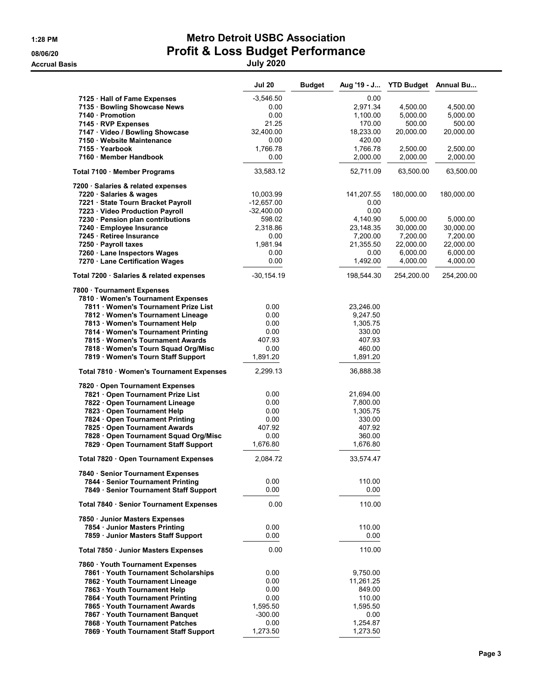**Accrual Basis** 

## 1:28 PM Metro Detroit USBC Association 08/06/20 08/06/20 Profit & Loss Budget Performance<br>
Accrual Basis<br>
July 2020

|                                          | <b>Jul 20</b> | <b>Budget</b> | Aug '19 - J | <b>YTD Budget</b> | <b>Annual Bu</b> |
|------------------------------------------|---------------|---------------|-------------|-------------------|------------------|
| 7125 · Hall of Fame Expenses             | $-3,546.50$   |               | 0.00        |                   |                  |
| 7135 · Bowling Showcase News             | 0.00          |               | 2,971.34    | 4,500.00          | 4,500.00         |
| 7140 · Promotion                         | 0.00          |               | 1,100.00    | 5,000.00          | 5,000.00         |
| 7145 · RVP Expenses                      | 21.25         |               | 170.00      | 500.00            | 500.00           |
| 7147 · Video / Bowling Showcase          | 32,400.00     |               | 18,233.00   | 20,000.00         | 20,000.00        |
| 7150 · Website Maintenance               | 0.00          |               | 420.00      |                   |                  |
| 7155 · Yearbook                          | 1,766.78      |               | 1,766.78    | 2,500.00          | 2,500.00         |
| 7160 Member Handbook                     | 0.00          |               | 2,000.00    | 2,000.00          | 2,000.00         |
| Total 7100 · Member Programs             | 33,583.12     |               | 52,711.09   | 63,500.00         | 63,500.00        |
| 7200 · Salaries & related expenses       |               |               |             |                   |                  |
| 7220 · Salaries & wages                  | 10,003.99     |               | 141,207.55  | 180,000.00        | 180,000.00       |
| 7221 · State Tourn Bracket Payroll       | $-12,657.00$  |               | 0.00        |                   |                  |
| 7223 · Video Production Payroll          | $-32,400.00$  |               | 0.00        |                   |                  |
| 7230 · Pension plan contributions        | 598.02        |               | 4,140.90    | 5,000.00          | 5,000.00         |
| 7240 · Employee Insurance                | 2,318.86      |               | 23,148.35   | 30,000.00         | 30,000.00        |
| 7245 · Retiree Insurance                 | 0.00          |               | 7,200.00    | 7,200.00          | 7,200.00         |
| 7250 · Payroll taxes                     | 1,981.94      |               | 21,355.50   | 22,000.00         | 22,000.00        |
| 7260 · Lane Inspectors Wages             | 0.00          |               | 0.00        | 6,000.00          | 6,000.00         |
| 7270 · Lane Certification Wages          | 0.00          |               | 1,492.00    | 4,000.00          | 4,000.00         |
| Total 7200 · Salaries & related expenses | $-30, 154.19$ |               | 198,544.30  | 254,200.00        | 254,200.00       |
| 7800 · Tournament Expenses               |               |               |             |                   |                  |
| 7810 · Women's Tournament Expenses       |               |               |             |                   |                  |
| 7811 Women's Tournament Prize List       | 0.00          |               | 23,246.00   |                   |                  |
| 7812 Women's Tournament Lineage          | 0.00          |               | 9,247.50    |                   |                  |
| 7813 · Women's Tournament Help           | 0.00          |               | 1,305.75    |                   |                  |
| 7814 Women's Tournament Printing         | 0.00          |               | 330.00      |                   |                  |
| 7815 · Women's Tournament Awards         | 407.93        |               | 407.93      |                   |                  |
| 7818 · Women's Tourn Squad Org/Misc      | 0.00          |               | 460.00      |                   |                  |
| 7819 · Women's Tourn Staff Support       | 1,891.20      |               | 1,891.20    |                   |                  |
| Total 7810 · Women's Tournament Expenses | 2,299.13      |               | 36,888.38   |                   |                  |
| 7820 Open Tournament Expenses            |               |               |             |                   |                  |
| 7821 Open Tournament Prize List          | 0.00          |               | 21,694.00   |                   |                  |
| 7822 · Open Tournament Lineage           | 0.00          |               | 7,800.00    |                   |                  |
| 7823 Open Tournament Help                | 0.00          |               | 1,305.75    |                   |                  |
| 7824 · Open Tournament Printing          | 0.00          |               | 330.00      |                   |                  |
| 7825 Open Tournament Awards              | 407.92        |               | 407.92      |                   |                  |
| 7828 Open Tournament Squad Org/Misc      | 0.00          |               | 360.00      |                   |                  |
| 7829 · Open Tournament Staff Support     | 1,676.80      |               | 1,676.80    |                   |                  |
| Total 7820 · Open Tournament Expenses    | 2,084.72      |               | 33,574.47   |                   |                  |
| 7840 · Senior Tournament Expenses        |               |               |             |                   |                  |
| 7844 · Senior Tournament Printing        | 0.00          |               | 110.00      |                   |                  |
| 7849 · Senior Tournament Staff Support   | 0.00          |               | 0.00        |                   |                  |
| Total 7840 · Senior Tournament Expenses  | 0.00          |               | 110.00      |                   |                  |
| 7850 · Junior Masters Expenses           |               |               |             |                   |                  |
| 7854 · Junior Masters Printing           | 0.00          |               | 110.00      |                   |                  |
| 7859 Junior Masters Staff Support        | 0.00          |               | 0.00        |                   |                  |
| Total 7850 · Junior Masters Expenses     | 0.00          |               | 110.00      |                   |                  |
| 7860 · Youth Tournament Expenses         |               |               |             |                   |                  |
| 7861 Youth Tournament Scholarships       | 0.00          |               | 9,750.00    |                   |                  |
| 7862 Youth Tournament Lineage            | 0.00          |               | 11,261.25   |                   |                  |
| 7863 · Youth Tournament Help             | 0.00          |               | 849.00      |                   |                  |
| 7864 · Youth Tournament Printing         | 0.00          |               | 110.00      |                   |                  |
| 7865 · Youth Tournament Awards           | 1,595.50      |               | 1,595.50    |                   |                  |
| 7867 Youth Tournament Banquet            | $-300.00$     |               | 0.00        |                   |                  |
| 7868 Youth Tournament Patches            | 0.00          |               | 1,254.87    |                   |                  |
| 7869 · Youth Tournament Staff Support    | 1,273.50      |               | 1,273.50    |                   |                  |
|                                          |               |               |             |                   |                  |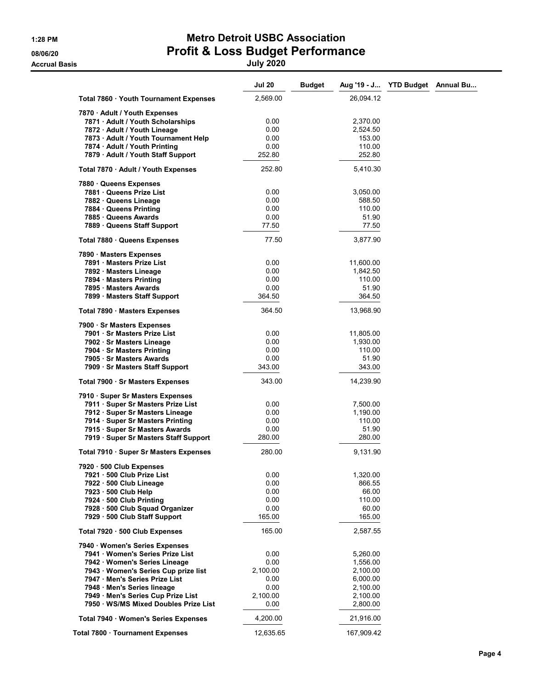### 1:28 PM Metro Detroit USBC Association 08/06/20 **Profit & Loss Budget Performance** Accrual Basis July 2020

|                                                                           | <b>Jul 20</b>  | <b>Budget</b>   | Aug '19 - J YTD Budget Annual Bu |  |
|---------------------------------------------------------------------------|----------------|-----------------|----------------------------------|--|
| Total 7860 · Youth Tournament Expenses                                    | 2,569.00       | 26,094.12       |                                  |  |
| 7870 · Adult / Youth Expenses                                             |                |                 |                                  |  |
| 7871 · Adult / Youth Scholarships                                         | 0.00           | 2,370.00        |                                  |  |
| 7872 · Adult / Youth Lineage                                              | 0.00           | 2,524.50        |                                  |  |
| 7873 · Adult / Youth Tournament Help                                      | 0.00           | 153.00          |                                  |  |
|                                                                           |                |                 |                                  |  |
| 7874 · Adult / Youth Printing                                             | 0.00           | 110.00          |                                  |  |
| 7879 · Adult / Youth Staff Support                                        | 252.80         | 252.80          |                                  |  |
| Total 7870 · Adult / Youth Expenses                                       | 252.80         | 5,410.30        |                                  |  |
| 7880 Queens Expenses                                                      |                |                 |                                  |  |
| 7881 Queens Prize List                                                    | 0.00           | 3,050.00        |                                  |  |
| 7882 Queens Lineage                                                       | 0.00           | 588.50          |                                  |  |
| 7884 Queens Printing                                                      | 0.00           | 110.00          |                                  |  |
| 7885 Queens Awards                                                        | 0.00           | 51.90           |                                  |  |
| 7889 Queens Staff Support                                                 | 77.50          | 77.50           |                                  |  |
| Total 7880 · Queens Expenses                                              | 77.50          | 3,877.90        |                                  |  |
| 7890 · Masters Expenses                                                   |                |                 |                                  |  |
| 7891 Masters Prize List                                                   | 0.00           | 11,600.00       |                                  |  |
| 7892 Masters Lineage                                                      | 0.00           | 1,842.50        |                                  |  |
| 7894 Masters Printing                                                     |                |                 |                                  |  |
|                                                                           | 0.00           | 110.00          |                                  |  |
| 7895 Masters Awards                                                       | 0.00           | 51.90           |                                  |  |
| 7899 · Masters Staff Support                                              | 364.50         | 364.50          |                                  |  |
| Total 7890 · Masters Expenses                                             | 364.50         | 13,968.90       |                                  |  |
| 7900 · Sr Masters Expenses                                                |                |                 |                                  |  |
| 7901 · Sr Masters Prize List                                              | 0.00           | 11,805.00       |                                  |  |
| 7902 · Sr Masters Lineage                                                 | 0.00           | 1,930.00        |                                  |  |
| 7904 · Sr Masters Printing                                                | 0.00           | 110.00          |                                  |  |
| 7905 · Sr Masters Awards                                                  | 0.00           | 51.90           |                                  |  |
| 7909 · Sr Masters Staff Support                                           | 343.00         | 343.00          |                                  |  |
| Total 7900 · Sr Masters Expenses                                          | 343.00         | 14,239.90       |                                  |  |
| 7910 · Super Sr Masters Expenses                                          |                |                 |                                  |  |
| 7911 · Super Sr Masters Prize List                                        | 0.00           | 7,500.00        |                                  |  |
| 7912 · Super Sr Masters Lineage                                           | 0.00           | 1,190.00        |                                  |  |
| 7914 · Super Sr Masters Printing                                          | 0.00           | 110.00          |                                  |  |
|                                                                           |                |                 |                                  |  |
| 7915 · Super Sr Masters Awards<br>7919 · Super Sr Masters Staff Support   | 0.00<br>280.00 | 51.90<br>280.00 |                                  |  |
|                                                                           |                |                 |                                  |  |
| Total 7910 · Super Sr Masters Expenses                                    | 280.00         | 9,131.90        |                                  |  |
| 7920 · 500 Club Expenses                                                  |                |                 |                                  |  |
| 7921 · 500 Club Prize List                                                | 0.00           | 1,320.00        |                                  |  |
| 7922 · 500 Club Lineage                                                   | 0.00           | 866.55          |                                  |  |
| 7923 - 500 Club Help                                                      | 0.00           | 66.00           |                                  |  |
| 7924 · 500 Club Printing                                                  | 0.00           | 110.00          |                                  |  |
| 7928 · 500 Club Squad Organizer                                           | 0.00           | 60.00           |                                  |  |
| 7929 · 500 Club Staff Support                                             | 165.00         | 165.00          |                                  |  |
| Total 7920 · 500 Club Expenses                                            | 165.00         | 2,587.55        |                                  |  |
| 7940 · Women's Series Expenses                                            |                |                 |                                  |  |
| 7941 · Women's Series Prize List                                          | 0.00           | 5,260.00        |                                  |  |
| 7942 · Women's Series Lineage                                             | 0.00           | 1,556.00        |                                  |  |
| 7943 · Women's Series Cup prize list                                      | 2,100.00       | 2,100.00        |                                  |  |
| 7947 Men's Series Prize List                                              | 0.00           | 6,000.00        |                                  |  |
|                                                                           | 0.00           | 2,100.00        |                                  |  |
| 7948 · Men's Series lineage                                               |                |                 |                                  |  |
| 7949 Men's Series Cup Prize List<br>7950 · WS/MS Mixed Doubles Prize List | 2,100.00       | 2,100.00        |                                  |  |
|                                                                           | 0.00           | 2,800.00        |                                  |  |
| Total 7940 · Women's Series Expenses                                      | 4,200.00       | 21,916.00       |                                  |  |
| Total 7800 · Tournament Expenses                                          | 12,635.65      | 167,909.42      |                                  |  |